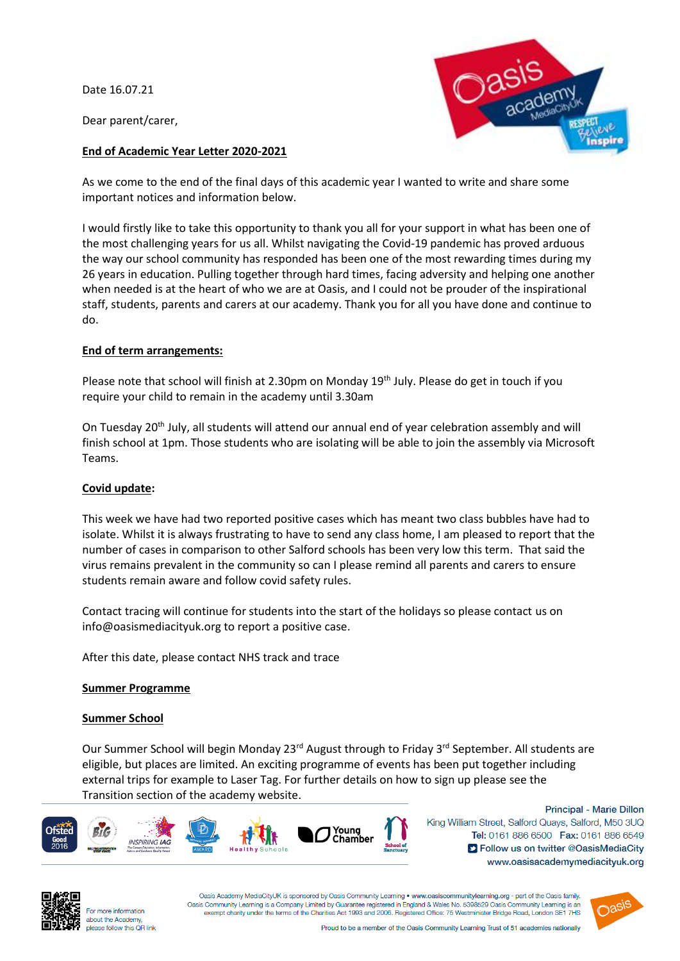Date 16.07.21

Dear parent/carer,



### **End of Academic Year Letter 2020-2021**

As we come to the end of the final days of this academic year I wanted to write and share some important notices and information below.

I would firstly like to take this opportunity to thank you all for your support in what has been one of the most challenging years for us all. Whilst navigating the Covid-19 pandemic has proved arduous the way our school community has responded has been one of the most rewarding times during my 26 years in education. Pulling together through hard times, facing adversity and helping one another when needed is at the heart of who we are at Oasis, and I could not be prouder of the inspirational staff, students, parents and carers at our academy. Thank you for all you have done and continue to do.

### **End of term arrangements:**

Please note that school will finish at 2.30pm on Monday 19<sup>th</sup> July. Please do get in touch if you require your child to remain in the academy until 3.30am

On Tuesday 20<sup>th</sup> July, all students will attend our annual end of year celebration assembly and will finish school at 1pm. Those students who are isolating will be able to join the assembly via Microsoft Teams.

# **Covid update:**

This week we have had two reported positive cases which has meant two class bubbles have had to isolate. Whilst it is always frustrating to have to send any class home, I am pleased to report that the number of cases in comparison to other Salford schools has been very low this term. That said the virus remains prevalent in the community so can I please remind all parents and carers to ensure students remain aware and follow covid safety rules.

Contact tracing will continue for students into the start of the holidays so please contact us on info@oasismediacityuk.org to report a positive case.

After this date, please contact NHS track and trace

### **Summer Programme**

### **Summer School**

Our Summer School will begin Monday 23<sup>rd</sup> August through to Friday 3<sup>rd</sup> September. All students are eligible, but places are limited. An exciting programme of events has been put together including external trips for example to Laser Tag. For further details on how to sign up please see the Transition section of the academy website.



Principal - Marie Dillon King William Street, Salford Quays, Salford, M50 3UQ Tel: 0161 886 6500 Fax: 0161 886 6549 S Follow us on twitter @OasisMediaCity www.oasisacademymediacityuk.org



For more information about the Academy, please follow this OR link

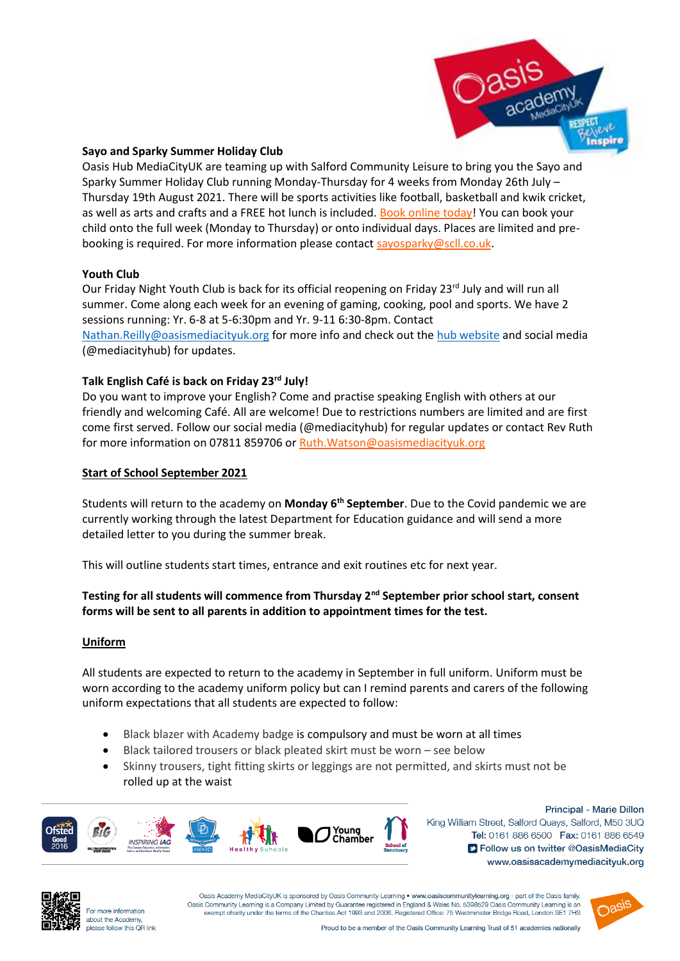

### **Sayo and Sparky Summer Holiday Club**

Oasis Hub MediaCityUK are teaming up with Salford Community Leisure to bring you the Sayo and Sparky Summer Holiday Club running Monday-Thursday for 4 weeks from Monday 26th July – Thursday 19th August 2021. There will be sports activities like football, basketball and kwik cricket, as well as arts and crafts and a FREE hot lunch is included. [Book online today!](https://summer21-oasis.eventbrite.co.uk/) You can book your child onto the full week (Monday to Thursday) or onto individual days. Places are limited and prebooking is required. For more information please contact [sayosparky@scll.co.uk.](mailto:sayosparky@scll.co.uk)

### **Youth Club**

Our Friday Night Youth Club is back for its official reopening on Friday 23<sup>rd</sup> July and will run all summer. Come along each week for an evening of gaming, cooking, pool and sports. We have 2 sessions running: Yr. 6-8 at 5-6:30pm and Yr. 9-11 6:30-8pm. Contact [Nathan.Reilly@oasismediacityuk.org](mailto:Nathan.Reilly@oasismediacityuk.org) for more info and check out th[e hub website](http://www.oasishubmediacityuk.org/) and social media (@mediacityhub) for updates.

### **Talk English Café is back on Friday 23rd July!**

Do you want to improve your English? Come and practise speaking English with others at our friendly and welcoming Café. All are welcome! Due to restrictions numbers are limited and are first come first served. Follow our social media (@mediacityhub) for regular updates or contact Rev Ruth for more information on 07811 859706 or Ruth. Watson@oasismediacityuk.org

### **Start of School September 2021**

Students will return to the academy on **Monday 6th September**. Due to the Covid pandemic we are currently working through the latest Department for Education guidance and will send a more detailed letter to you during the summer break.

This will outline students start times, entrance and exit routines etc for next year.

# **Testing for all students will commence from Thursday 2nd September prior school start, consent forms will be sent to all parents in addition to appointment times for the test.**

### **Uniform**

All students are expected to return to the academy in September in full uniform. Uniform must be worn according to the academy uniform policy but can I remind parents and carers of the following uniform expectations that all students are expected to follow:

- Black blazer with Academy badge is compulsory and must be worn at all times
- Black tailored trousers or black pleated skirt must be worn see below
- Skinny trousers, tight fitting skirts or leggings are not permitted, and skirts must not be rolled up at the waist



Principal - Marie Dillon King William Street, Salford Quays, Salford, M50 3UQ Tel: 0161 886 6500 Fax: 0161 886 6549 S Follow us on twitter @OasisMediaCity www.oasisacademymediacityuk.org



For more information about the Academy, please follow this OR link

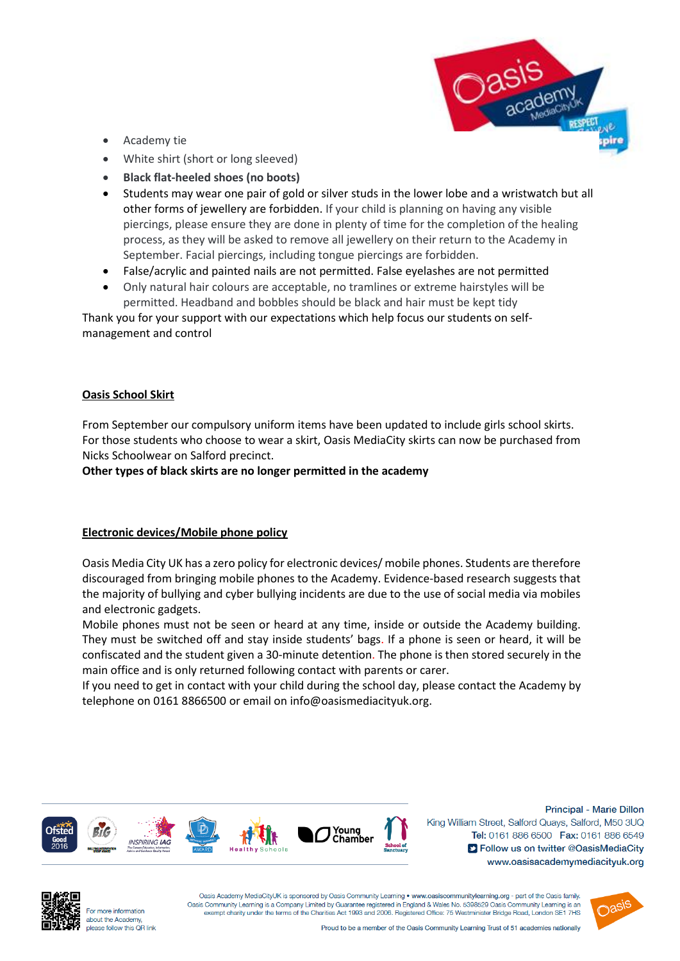

- Academy tie
- White shirt (short or long sleeved)
- **Black flat-heeled shoes (no boots)**
- Students may wear one pair of gold or silver studs in the lower lobe and a wristwatch but all other forms of jewellery are forbidden. If your child is planning on having any visible piercings, please ensure they are done in plenty of time for the completion of the healing process, as they will be asked to remove all jewellery on their return to the Academy in September. Facial piercings, including tongue piercings are forbidden.
- False/acrylic and painted nails are not permitted. False eyelashes are not permitted
- Only natural hair colours are acceptable, no tramlines or extreme hairstyles will be permitted. Headband and bobbles should be black and hair must be kept tidy

Thank you for your support with our expectations which help focus our students on selfmanagement and control

### **Oasis School Skirt**

From September our compulsory uniform items have been updated to include girls school skirts. For those students who choose to wear a skirt, Oasis MediaCity skirts can now be purchased from Nicks Schoolwear on Salford precinct.

**Other types of black skirts are no longer permitted in the academy**

### **Electronic devices/Mobile phone policy**

Oasis Media City UK has a zero policy for electronic devices/ mobile phones. Students are therefore discouraged from bringing mobile phones to the Academy. Evidence-based research suggests that the majority of bullying and cyber bullying incidents are due to the use of social media via mobiles and electronic gadgets.

Mobile phones must not be seen or heard at any time, inside or outside the Academy building. They must be switched off and stay inside students' bags. If a phone is seen or heard, it will be confiscated and the student given a 30-minute detention. The phone is then stored securely in the main office and is only returned following contact with parents or carer.

If you need to get in contact with your child during the school day, please contact the Academy by telephone on 0161 8866500 or email on info@oasismediacityuk.org.



Principal - Marie Dillon King William Street, Salford Quays, Salford, M50 3UQ Tel: 0161 886 6500 Fax: 0161 886 6549 S Follow us on twitter @OasisMediaCity www.oasisacademymediacityuk.org



For more information about the Academy, please follow this OR link